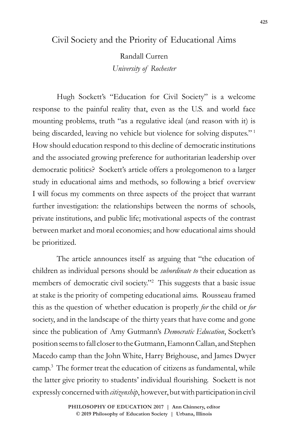# Civil Society and the Priority of Educational Aims

Randall Curren *University of Rochester*

Hugh Sockett's "Education for Civil Society" is a welcome response to the painful reality that, even as the U.S. and world face mounting problems, truth "as a regulative ideal (and reason with it) is being discarded, leaving no vehicle but violence for solving disputes."<sup>1</sup> How should education respond to this decline of democratic institutions and the associated growing preference for authoritarian leadership over democratic politics? Sockett's article offers a prolegomenon to a larger study in educational aims and methods, so following a brief overview I will focus my comments on three aspects of the project that warrant further investigation: the relationships between the norms of schools, private institutions, and public life; motivational aspects of the contrast between market and moral economies; and how educational aims should be prioritized.

The article announces itself as arguing that "the education of children as individual persons should be *subordinate to* their education as members of democratic civil society."<sup>2</sup> This suggests that a basic issue at stake is the priority of competing educational aims. Rousseau framed this as the question of whether education is properly *for* the child or *for*  society, and in the landscape of the thirty years that have come and gone since the publication of Amy Gutmann's *Democratic Education*, Sockett's position seems to fall closer to the Gutmann, Eamonn Callan, and Stephen Macedo camp than the John White, Harry Brighouse, and James Dwyer camp.3 The former treat the education of citizens as fundamental, while the latter give priority to students' individual flourishing. Sockett is not expressly concerned with *citizenship*, however, but with participation in civil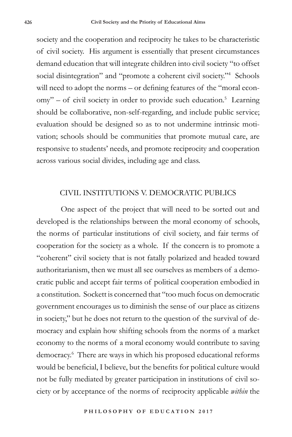society and the cooperation and reciprocity he takes to be characteristic of civil society. His argument is essentially that present circumstances demand education that will integrate children into civil society "to offset social disintegration" and "promote a coherent civil society."4 Schools will need to adopt the norms – or defining features of the "moral economy" – of civil society in order to provide such education.<sup>5</sup> Learning should be collaborative, non-self-regarding, and include public service; evaluation should be designed so as to not undermine intrinsic motivation; schools should be communities that promote mutual care, are responsive to students' needs, and promote reciprocity and cooperation across various social divides, including age and class.

# CIVIL INSTITUTIONS V. DEMOCRATIC PUBLICS

One aspect of the project that will need to be sorted out and developed is the relationships between the moral economy of schools, the norms of particular institutions of civil society, and fair terms of cooperation for the society as a whole. If the concern is to promote a "coherent" civil society that is not fatally polarized and headed toward authoritarianism, then we must all see ourselves as members of a democratic public and accept fair terms of political cooperation embodied in a constitution. Sockett is concerned that "too much focus on democratic government encourages us to diminish the sense of our place as citizens in society," but he does not return to the question of the survival of democracy and explain how shifting schools from the norms of a market economy to the norms of a moral economy would contribute to saving democracy.6 There are ways in which his proposed educational reforms would be beneficial, I believe, but the benefits for political culture would not be fully mediated by greater participation in institutions of civil society or by acceptance of the norms of reciprocity applicable *within* the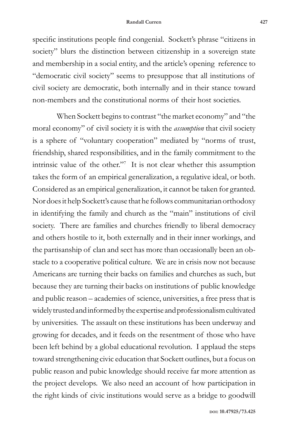#### **Randall Curren 427**

specific institutions people find congenial. Sockett's phrase "citizens in society" blurs the distinction between citizenship in a sovereign state and membership in a social entity, and the article's opening reference to "democratic civil society" seems to presuppose that all institutions of civil society are democratic, both internally and in their stance toward non-members and the constitutional norms of their host societies.

When Sockett begins to contrast "the market economy" and "the moral economy" of civil society it is with the *assumption* that civil society is a sphere of "voluntary cooperation" mediated by "norms of trust, friendship, shared responsibilities, and in the family commitment to the intrinsic value of the other."7 It is not clear whether this assumption takes the form of an empirical generalization, a regulative ideal, or both. Considered as an empirical generalization, it cannot be taken for granted. Nor does it help Sockett's cause that he follows communitarian orthodoxy in identifying the family and church as the "main" institutions of civil society. There are families and churches friendly to liberal democracy and others hostile to it, both externally and in their inner workings, and the partisanship of clan and sect has more than occasionally been an obstacle to a cooperative political culture. We are in crisis now not because Americans are turning their backs on families and churches as such, but because they are turning their backs on institutions of public knowledge and public reason – academies of science, universities, a free press that is widely trusted and informed by the expertise and professionalism cultivated by universities. The assault on these institutions has been underway and growing for decades, and it feeds on the resentment of those who have been left behind by a global educational revolution. I applaud the steps toward strengthening civic education that Sockett outlines, but a focus on public reason and pubic knowledge should receive far more attention as the project develops. We also need an account of how participation in the right kinds of civic institutions would serve as a bridge to goodwill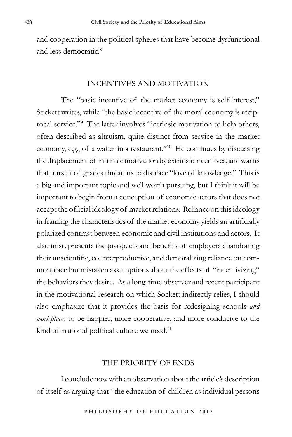and cooperation in the political spheres that have become dysfunctional and less democratic.<sup>8</sup>

## INCENTIVES AND MOTIVATION

The "basic incentive of the market economy is self-interest," Sockett writes, while "the basic incentive of the moral economy is reciprocal service."9 The latter involves "intrinsic motivation to help others, often described as altruism, quite distinct from service in the market economy, e.g., of a waiter in a restaurant."10 He continues by discussing the displacement of intrinsic motivation by extrinsic incentives, and warns that pursuit of grades threatens to displace "love of knowledge." This is a big and important topic and well worth pursuing, but I think it will be important to begin from a conception of economic actors that does not accept the official ideology of market relations. Reliance on this ideology in framing the characteristics of the market economy yields an artificially polarized contrast between economic and civil institutions and actors. It also misrepresents the prospects and benefits of employers abandoning their unscientific, counterproductive, and demoralizing reliance on commonplace but mistaken assumptions about the effects of "incentivizing" the behaviors they desire. As a long-time observer and recent participant in the motivational research on which Sockett indirectly relies, I should also emphasize that it provides the basis for redesigning schools *and workplaces* to be happier, more cooperative, and more conducive to the kind of national political culture we need.<sup>11</sup>

### THE PRIORITY OF ENDS

I conclude now with an observation about the article's description of itself as arguing that "the education of children as individual persons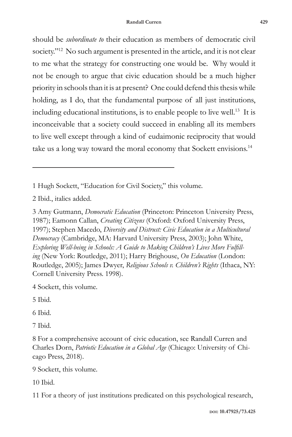should be *subordinate to* their education as members of democratic civil society."12 No such argument is presented in the article, and it is not clear to me what the strategy for constructing one would be. Why would it not be enough to argue that civic education should be a much higher priority in schools than it is at present? One could defend this thesis while holding, as I do, that the fundamental purpose of all just institutions, including educational institutions, is to enable people to live well.<sup>13</sup> It is inconceivable that a society could succeed in enabling all its members to live well except through a kind of eudaimonic reciprocity that would take us a long way toward the moral economy that Sockett envisions.<sup>14</sup>

1 Hugh Sockett, "Education for Civil Society," this volume.

2 Ibid., italics added.

3 Amy Gutmann, *Democratic Education* (Princeton: Princeton University Press, 1987); Eamonn Callan, *Creating Citizens* (Oxford: Oxford University Press, 1997); Stephen Macedo, *Diversity and Distrust: Civic Education in a Multicultural Democracy* (Cambridge, MA: Harvard University Press, 2003); John White, *Exploring Well-being in Schools: A Guide to Making Children's Lives More Fulfilling* (New York: Routledge, 2011); Harry Brighouse, *On Education* (London: Routledge, 2005); James Dwyer, *Religious Schools v. Children's Rights* (Ithaca, NY: Cornell University Press. 1998).

4 Sockett, this volume.

5 Ibid.

6 Ibid.

7 Ibid.

9 Sockett, this volume.

10 Ibid.

11 For a theory of just institutions predicated on this psychological research,

<sup>8</sup> For a comprehensive account of civic education, see Randall Curren and Charles Dorn, *Patriotic Education in a Global Age* (Chicago: University of Chicago Press, 2018).